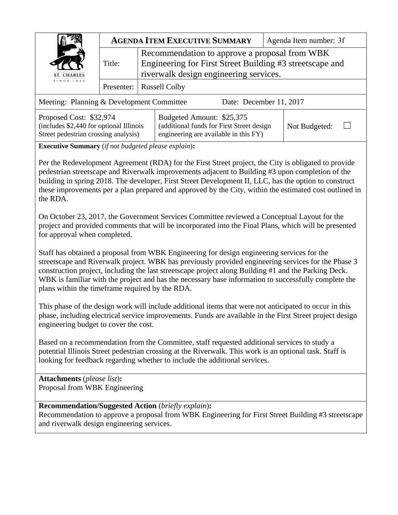|                                                                                                            | <b>AGENDA ITEM EXECUTIVE SUMMARY</b> |                                                                                                                                                     |                                                                                                                 |  | Agenda Item number: 3f |  |  |  |
|------------------------------------------------------------------------------------------------------------|--------------------------------------|-----------------------------------------------------------------------------------------------------------------------------------------------------|-----------------------------------------------------------------------------------------------------------------|--|------------------------|--|--|--|
| ST. CHARLES                                                                                                | Title:                               | Recommendation to approve a proposal from WBK<br>Engineering for First Street Building #3 streetscape and<br>riverwalk design engineering services. |                                                                                                                 |  |                        |  |  |  |
| SINCE 1834                                                                                                 | Presenter:                           |                                                                                                                                                     | <b>Russell Colby</b>                                                                                            |  |                        |  |  |  |
| Meeting: Planning & Development Committee<br>Date: December 11, 2017                                       |                                      |                                                                                                                                                     |                                                                                                                 |  |                        |  |  |  |
| Proposed Cost: \$32,974<br>(includes \$2,440 for optional Illinois<br>Street pedestrian crossing analysis) |                                      |                                                                                                                                                     | Budgeted Amount: \$25,375<br>(additional funds for First Street design<br>engineering are available in this FY) |  | Not Budgeted:          |  |  |  |

**Executive Summary** (*if not budgeted please explain*)**:** 

Per the Redevelopment Agreement (RDA) for the First Street project, the City is obligated to provide pedestrian streetscape and Riverwalk improvements adjacent to Building #3 upon completion of the building in spring 2018. The developer, First Street Development II, LLC, has the option to construct these improvements per a plan prepared and approved by the City, within the estimated cost outlined in the RDA.

On October 23, 2017, the Government Services Committee reviewed a Conceptual Layout for the project and provided comments that will be incorporated into the Final Plans, which will be presented for approval when completed.

Staff has obtained a proposal from WBK Engineering for design engineering services for the streetscape and Riverwalk project. WBK has previously provided engineering services for the Phase 3 construction project, including the last streetscape project along Building #1 and the Parking Deck. WBK is familiar with the project and has the necessary base information to successfully complete the plans within the timeframe required by the RDA.

This phase of the design work will include additional items that were not anticipated to occur in this phase, including electrical service improvements. Funds are available in the First Street project design engineering budget to cover the cost.

Based on a recommendation from the Committee, staff requested additional services to study a potential Illinois Street pedestrian crossing at the Riverwalk. This work is an optional task. Staff is looking for feedback regarding whether to include the additional services.

**Attachments** (*please list*)**:**  Proposal from WBK Engineering

## **Recommendation/Suggested Action** (*briefly explain*)**:**

Recommendation to approve a proposal from WBK Engineering for First Street Building #3 streetscape and riverwalk design engineering services.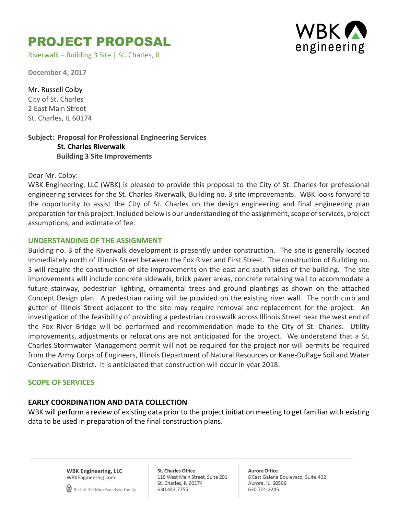# PROJECT PROPOSAL

Riverwalk – Building 3 Site | St. Charles, IL



**December 4, 2017**

Mr. Russell Colby City of St. Charles 2 East Main Street St. Charles, IL 60174

## **Subject: Proposal for Professional Engineering Services St. Charles Riverwalk Building 3 Site Improvements**

Dear Mr. Colby:

WBK Engineering, LLC (WBK) is pleased to provide this proposal to the City of St. Charles for professional engineering services for the St. Charles Riverwalk, Building no. 3 site improvements. WBK looks forward to the opportunity to assist the City of St. Charles on the design engineering and final engineering plan preparation for this project. Included below is our understanding of the assignment, scope of services, project assumptions, and estimate of fee.

## **UNDERSTANDING OF THE ASSIGNMENT**

Building no. 3 of the Riverwalk development is presently under construction. The site is generally located immediately north of Illinois Street between the Fox River and First Street. The construction of Building no. 3 will require the construction of site improvements on the east and south sides of the building. The site improvements will include concrete sidewalk, brick paver areas, concrete retaining wall to accommodate a future stairway, pedestrian lighting, ornamental trees and ground plantings as shown on the attached Concept Design plan. A pedestrian railing will be provided on the existing river wall. The north curb and gutter of Illinois Street adjacent to the site may require removal and replacement for the project. An investigation of the feasibility of providing a pedestrian crosswalk across Illinois Street near the west end of the Fox River Bridge will be performed and recommendation made to the City of St. Charles. Utility improvements, adjustments or relocations are not anticipated for the project. We understand that a St. Charles Stormwater Management permit will not be required for the project nor will permits be required from the Army Corps of Engineers, Illinois Department of Natural Resources or Kane-DuPage Soil and Water Conservation District. It is anticipated that construction will occur in year 2018.

### **SCOPE OF SERVICES**

## **EARLY COORDINATION AND DATA COLLECTION**

WBK will perform a review of existing data prior to the project initiation meeting to get familiar with existing data to be used in preparation of the final construction plans.

> **WBK Engineering, LLC** WBKEngineering.com



**St. Charles Office** 116 West Main Street, Suite 201 St. Charles, IL 60174 630.443.7755

**Aurora Office** 8 East Galena Boulevard, Suite 402 Aurora, IL 60506 630.701.2245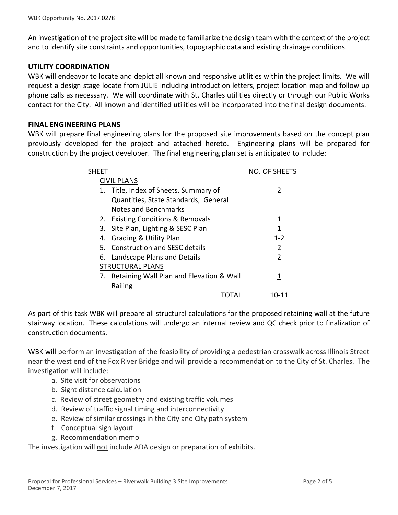An investigation of the project site will be made to familiarize the design team with the context of the project and to identify site constraints and opportunities, topographic data and existing drainage conditions.

## **UTILITY COORDINATION**

WBK will endeavor to locate and depict all known and responsive utilities within the project limits. We will request a design stage locate from JULIE including introduction letters, project location map and follow up phone calls as necessary. We will coordinate with St. Charles utilities directly or through our Public Works contact for the City. All known and identified utilities will be incorporated into the final design documents.

## **FINAL ENGINEERING PLANS**

WBK will prepare final engineering plans for the proposed site improvements based on the concept plan previously developed for the project and attached hereto. Engineering plans will be prepared for construction by the project developer. The final engineering plan set is anticipated to include:

| SHEET |                                             | <b>NO. OF SHEETS</b> |
|-------|---------------------------------------------|----------------------|
|       | <b>CIVIL PLANS</b>                          |                      |
|       | 1. Title, Index of Sheets, Summary of       | 2                    |
|       | Quantities, State Standards, General        |                      |
|       | Notes and Benchmarks                        |                      |
|       | 2. Existing Conditions & Removals           | 1                    |
|       | 3. Site Plan, Lighting & SESC Plan          | 1                    |
| 4.    | <b>Grading &amp; Utility Plan</b>           | $1 - 2$              |
|       | 5. Construction and SFSC details            | 2                    |
|       | 6. Landscape Plans and Details              | $\mathfrak z$        |
|       | <b>STRUCTURAL PLANS</b>                     |                      |
|       | 7. Retaining Wall Plan and Elevation & Wall |                      |
|       | Railing                                     |                      |
|       |                                             | 10-11                |

As part of this task WBK will prepare all structural calculations for the proposed retaining wall at the future stairway location. These calculations will undergo an internal review and QC check prior to finalization of construction documents.

WBK will perform an investigation of the feasibility of providing a pedestrian crosswalk across Illinois Street near the west end of the Fox River Bridge and will provide a recommendation to the City of St. Charles. The investigation will include:

- a. Site visit for observations
- b. Sight distance calculation
- c. Review of street geometry and existing traffic volumes
- d. Review of traffic signal timing and interconnectivity
- e. Review of similar crossings in the City and City path system
- f. Conceptual sign layout
- g. Recommendation memo

The investigation will not include ADA design or preparation of exhibits.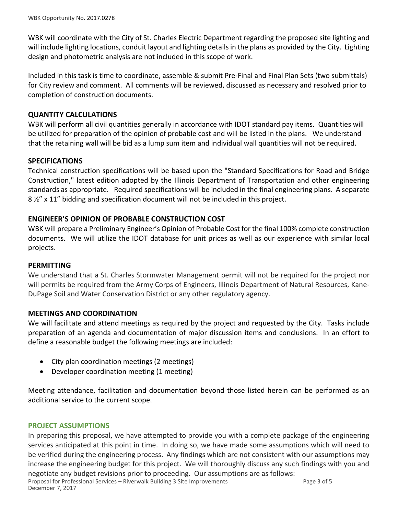WBK will coordinate with the City of St. Charles Electric Department regarding the proposed site lighting and will include lighting locations, conduit layout and lighting details in the plans as provided by the City. Lighting design and photometric analysis are not included in this scope of work.

Included in this task is time to coordinate, assemble & submit Pre-Final and Final Plan Sets (two submittals) for City review and comment. All comments will be reviewed, discussed as necessary and resolved prior to completion of construction documents.

## **QUANTITY CALCULATIONS**

WBK will perform all civil quantities generally in accordance with IDOT standard pay items. Quantities will be utilized for preparation of the opinion of probable cost and will be listed in the plans. We understand that the retaining wall will be bid as a lump sum item and individual wall quantities will not be required.

## **SPECIFICATIONS**

Technical construction specifications will be based upon the "Standard Specifications for Road and Bridge Construction," latest edition adopted by the Illinois Department of Transportation and other engineering standards as appropriate. Required specifications will be included in the final engineering plans. A separate 8 ½" x 11" bidding and specification document will not be included in this project.

## **ENGINEER'S OPINION OF PROBABLE CONSTRUCTION COST**

WBK will prepare a Preliminary Engineer's Opinion of Probable Cost for the final 100% complete construction documents. We will utilize the IDOT database for unit prices as well as our experience with similar local projects.

### **PERMITTING**

We understand that a St. Charles Stormwater Management permit will not be required for the project nor will permits be required from the Army Corps of Engineers, Illinois Department of Natural Resources, Kane-DuPage Soil and Water Conservation District or any other regulatory agency.

### **MEETINGS AND COORDINATION**

We will facilitate and attend meetings as required by the project and requested by the City. Tasks include preparation of an agenda and documentation of major discussion items and conclusions. In an effort to define a reasonable budget the following meetings are included:

- City plan coordination meetings (2 meetings)
- Developer coordination meeting (1 meeting)

Meeting attendance, facilitation and documentation beyond those listed herein can be performed as an additional service to the current scope.

### **PROJECT ASSUMPTIONS**

In preparing this proposal, we have attempted to provide you with a complete package of the engineering services anticipated at this point in time. In doing so, we have made some assumptions which will need to be verified during the engineering process. Any findings which are not consistent with our assumptions may increase the engineering budget for this project. We will thoroughly discuss any such findings with you and negotiate any budget revisions prior to proceeding. Our assumptions are as follows: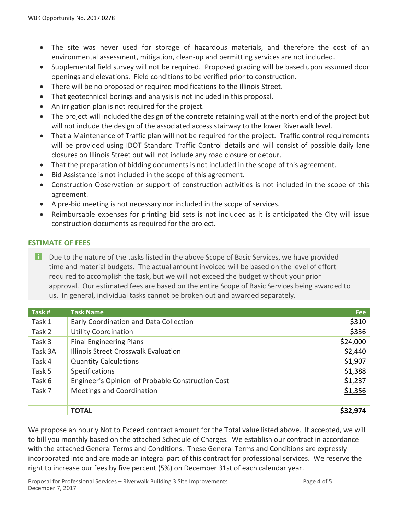- The site was never used for storage of hazardous materials, and therefore the cost of an environmental assessment, mitigation, clean-up and permitting services are not included.
- Supplemental field survey will not be required. Proposed grading will be based upon assumed door openings and elevations. Field conditions to be verified prior to construction.
- There will be no proposed or required modifications to the Illinois Street.
- That geotechnical borings and analysis is not included in this proposal.
- An irrigation plan is not required for the project.
- The project will included the design of the concrete retaining wall at the north end of the project but will not include the design of the associated access stairway to the lower Riverwalk level.
- That a Maintenance of Traffic plan will not be required for the project. Traffic control requirements will be provided using IDOT Standard Traffic Control details and will consist of possible daily lane closures on Illinois Street but will not include any road closure or detour.
- That the preparation of bidding documents is not included in the scope of this agreement.
- Bid Assistance is not included in the scope of this agreement.
- Construction Observation or support of construction activities is not included in the scope of this agreement.
- A pre-bid meeting is not necessary nor included in the scope of services.
- Reimbursable expenses for printing bid sets is not included as it is anticipated the City will issue construction documents as required for the project.

## **ESTIMATE OF FEES**

**T** Due to the nature of the tasks listed in the above Scope of Basic Services, we have provided time and material budgets. The actual amount invoiced will be based on the level of effort required to accomplish the task, but we will not exceed the budget without your prior approval. Our estimated fees are based on the entire Scope of Basic Services being awarded to us. In general, individual tasks cannot be broken out and awarded separately.

| Task #  | <b>Task Name</b>                                 | <b>Fee</b> |
|---------|--------------------------------------------------|------------|
| Task 1  | Early Coordination and Data Collection           | \$310      |
| Task 2  | <b>Utility Coordination</b>                      | \$336      |
| Task 3  | <b>Final Engineering Plans</b>                   | \$24,000   |
| Task 3A | Illinois Street Crosswalk Evaluation             | \$2,440    |
| Task 4  | <b>Quantity Calculations</b>                     | \$1,907    |
| Task 5  | Specifications                                   | \$1,388    |
| Task 6  | Engineer's Opinion of Probable Construction Cost | \$1,237    |
| Task 7  | <b>Meetings and Coordination</b>                 | \$1,356    |
|         |                                                  |            |
|         | <b>TOTAL</b>                                     | \$32,974   |

We propose an hourly Not to Exceed contract amount for the Total value listed above. If accepted, we will to bill you monthly based on the attached Schedule of Charges. We establish our contract in accordance with the attached General Terms and Conditions. These General Terms and Conditions are expressly incorporated into and are made an integral part of this contract for professional services. We reserve the right to increase our fees by five percent (5%) on December 31st of each calendar year.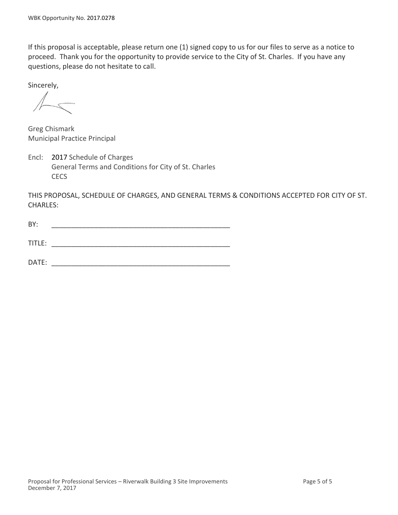If this proposal is acceptable, please return one (1) signed copy to us for our files to serve as a notice to proceed. Thank you for the opportunity to provide service to the City of St. Charles. If you have any questions, please do not hesitate to call.

Sincerely,

 $\begin{picture}(120,20) \put(0,0){\line(1,0){10}} \put(15,0){\line(1,0){10}} \put(15,0){\line(1,0){10}} \put(15,0){\line(1,0){10}} \put(15,0){\line(1,0){10}} \put(15,0){\line(1,0){10}} \put(15,0){\line(1,0){10}} \put(15,0){\line(1,0){10}} \put(15,0){\line(1,0){10}} \put(15,0){\line(1,0){10}} \put(15,0){\line(1,0){10}} \put(15,0){\line($ 

Greg Chismark Municipal Practice Principal

Encl: 2017 Schedule of Charges General Terms and Conditions for City of St. Charles **CECS** 

THIS PROPOSAL, SCHEDULE OF CHARGES, AND GENERAL TERMS & CONDITIONS ACCEPTED FOR CITY OF ST. CHARLES:

| BY:    |  |  |
|--------|--|--|
|        |  |  |
| TITLE: |  |  |
|        |  |  |
| DATE:  |  |  |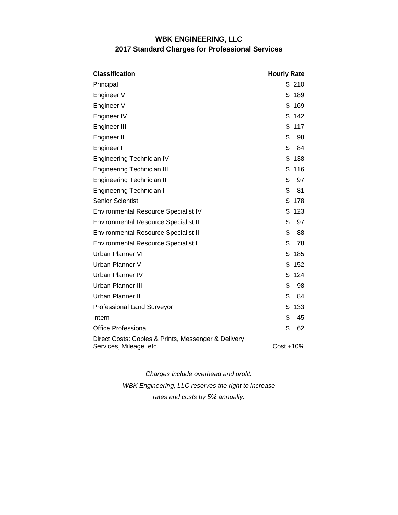## **WBK ENGINEERING, LLC 2017 Standard Charges for Professional Services**

| <b>Classification</b>                                                          | <b>Hourly Rate</b> |    |  |
|--------------------------------------------------------------------------------|--------------------|----|--|
| Principal                                                                      | \$210              |    |  |
| Engineer VI                                                                    | \$<br>189          |    |  |
| Engineer V                                                                     | \$<br>169          |    |  |
| Engineer IV                                                                    | \$<br>142          |    |  |
| Engineer III                                                                   | \$<br>117          |    |  |
| Engineer II                                                                    | \$                 | 98 |  |
| Engineer I                                                                     | \$                 | 84 |  |
| Engineering Technician IV                                                      | \$<br>138          |    |  |
| <b>Engineering Technician III</b>                                              | \$<br>116          |    |  |
| <b>Engineering Technician II</b>                                               | \$                 | 97 |  |
| <b>Engineering Technician I</b>                                                | \$                 | 81 |  |
| <b>Senior Scientist</b>                                                        | \$<br>178          |    |  |
| <b>Environmental Resource Specialist IV</b>                                    | \$<br>123          |    |  |
| <b>Environmental Resource Specialist III</b>                                   | \$                 | 97 |  |
| <b>Environmental Resource Specialist II</b>                                    | \$                 | 88 |  |
| <b>Environmental Resource Specialist I</b>                                     | \$                 | 78 |  |
| Urban Planner VI                                                               | \$<br>185          |    |  |
| Urban Planner V                                                                | \$<br>152          |    |  |
| Urban Planner IV                                                               | \$<br>124          |    |  |
| Urban Planner III                                                              | \$                 | 98 |  |
| Urban Planner II                                                               | \$                 | 84 |  |
| <b>Professional Land Surveyor</b>                                              | \$<br>133          |    |  |
| Intern                                                                         | \$                 | 45 |  |
| <b>Office Professional</b>                                                     | \$                 | 62 |  |
| Direct Costs: Copies & Prints, Messenger & Delivery<br>Services, Mileage, etc. | Cost +10%          |    |  |

*Charges include overhead and profit. WBK Engineering, LLC reserves the right to increase* 

*rates and costs by 5% annually.*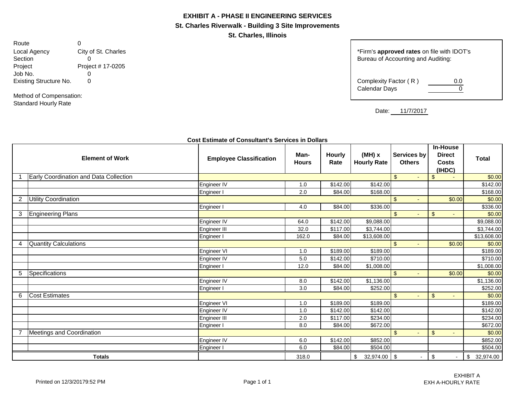#### **EXHIBIT A - PHASE II ENGINEERING SERVICES**

**St. Charles Riverwalk - Building 3 Site Improvements**

**St. Charles, Illinois**

Route 0 Project Project # 17-0205 Job No. 0<br>Existing Structure No. 0 Existing Structure No.

Method of Compensation: Standard Hourly Rate

Local Agency City of St. Charles **City of St. Charles** the structure of the structure of the vith IDOT's Section contring and Auditing: Bureau of Accounting and Auditing:

| Complexity Factor (R) | 0.0 |
|-----------------------|-----|
| Calendar Days         |     |
|                       |     |

Date: 11/7/2017

|                | <b>Element of Work</b>                 | <b>Employee Classification</b> | Man-<br><b>Hours</b> | Hourly<br>Rate | $(MH)$ x<br><b>Hourly Rate</b> | Services by<br><b>Others</b>     | <b>In-House</b><br><b>Direct</b><br><b>Costs</b><br>(IHDC) | <b>Total</b>    |
|----------------|----------------------------------------|--------------------------------|----------------------|----------------|--------------------------------|----------------------------------|------------------------------------------------------------|-----------------|
|                | Early Coordination and Data Collection |                                |                      |                |                                | $\mathfrak{L}$<br>$\sim$         | $\sqrt{2}$                                                 | \$0.00          |
|                |                                        | Engineer IV                    | 1.0                  | \$142.00       | \$142.00                       |                                  |                                                            | \$142.00        |
|                |                                        | Engineer I                     | 2.0                  | \$84.00        | \$168.00                       |                                  |                                                            | \$168.00        |
| $\overline{2}$ | <b>Utility Coordination</b>            |                                |                      |                |                                | $\mathfrak{L}$<br>÷.             | \$0.00                                                     | \$0.00          |
|                |                                        | Engineer I                     | 4.0                  | \$84.00        | \$336.00                       |                                  |                                                            | \$336.00        |
| 3              | <b>Engineering Plans</b>               |                                |                      |                |                                | $\mathfrak{S}$                   | $\sqrt[6]{3}$                                              | \$0.00          |
|                |                                        | Engineer IV                    | 64.0                 | \$142.00       | \$9,088.00                     |                                  |                                                            | \$9,088.00      |
|                |                                        | Engineer III                   | 32.0                 | \$117.00       | \$3,744.00                     |                                  |                                                            | \$3,744.00      |
|                |                                        | Engineer I                     | 162.0                | \$84.00        | \$13,608.00                    |                                  |                                                            | \$13,608.00     |
| 4              | <b>Quantity Calculations</b>           |                                |                      |                |                                | $\mathfrak{L}$<br>$\sim$         | \$0.00                                                     | \$0.00          |
|                |                                        | Engineer VI                    | 1.0                  | \$189.00       | \$189.00                       |                                  |                                                            | \$189.00        |
|                |                                        | Engineer IV                    | 5.0                  | \$142.00       | $\overline{$}710.00$           |                                  |                                                            | \$710.00        |
|                |                                        | Engineer I                     | 12.0                 | \$84.00        | \$1,008.00                     |                                  |                                                            | \$1,008.00      |
| 5              | Specifications                         |                                |                      |                |                                | $\mathfrak{L}$<br>$\blacksquare$ | \$0.00                                                     | \$0.00          |
|                |                                        | Engineer IV                    | 8.0                  | \$142.00       | \$1,136.00                     |                                  |                                                            | \$1,136.00      |
|                |                                        | Engineer I                     | 3.0                  | \$84.00        | \$252.00                       |                                  |                                                            | \$252.00        |
| 6              | <b>Cost Estimates</b>                  |                                |                      |                |                                | $\mathfrak{L}$<br>$\overline{a}$ | $\sqrt[6]{3}$                                              | \$0.00          |
|                |                                        | <b>Engineer VI</b>             | 1.0                  | \$189.00       | \$189.00                       |                                  |                                                            | \$189.00        |
|                |                                        | Engineer IV                    | 1.0                  | \$142.00       | \$142.00                       |                                  |                                                            | \$142.00        |
|                |                                        | Engineer III                   | 2.0                  | \$117.00       | \$234.00                       |                                  |                                                            | \$234.00        |
|                |                                        | Engineer I                     | 8.0                  | \$84.00        | \$672.00                       |                                  |                                                            | \$672.00        |
|                | <b>Meetings and Coordination</b>       |                                |                      |                |                                | $\mathfrak{L}$<br>$\sim$         | $\sqrt[6]{3}$                                              | \$0.00          |
|                |                                        | Engineer IV                    | 6.0                  | \$142.00       | \$852.00                       |                                  |                                                            | \$852.00        |
|                |                                        | Engineer I                     | 6.0                  | \$84.00        | \$504.00                       |                                  |                                                            | \$504.00        |
|                | <b>Totals</b>                          |                                | 318.0                |                | 32,974.00 \$<br>\$             |                                  | $\boldsymbol{\mathsf{S}}$                                  | 32,974.00<br>\$ |

#### **Cost Estimate of Consultant's Services in Dollars**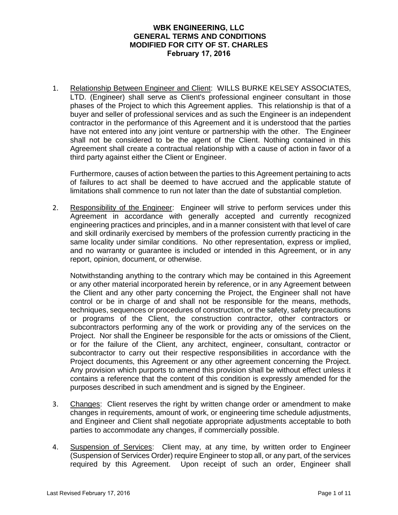## **WBK ENGINEERING, LLC GENERAL TERMS AND CONDITIONS MODIFIED FOR CITY OF ST. CHARLES February 17, 2016**

1. Relationship Between Engineer and Client: WILLS BURKE KELSEY ASSOCIATES, LTD. (Engineer) shall serve as Client's professional engineer consultant in those phases of the Project to which this Agreement applies. This relationship is that of a buyer and seller of professional services and as such the Engineer is an independent contractor in the performance of this Agreement and it is understood that the parties have not entered into any joint venture or partnership with the other. The Engineer shall not be considered to be the agent of the Client. Nothing contained in this Agreement shall create a contractual relationship with a cause of action in favor of a third party against either the Client or Engineer.

Furthermore, causes of action between the parties to this Agreement pertaining to acts of failures to act shall be deemed to have accrued and the applicable statute of limitations shall commence to run not later than the date of substantial completion.

2. Responsibility of the Engineer: Engineer will strive to perform services under this Agreement in accordance with generally accepted and currently recognized engineering practices and principles, and in a manner consistent with that level of care and skill ordinarily exercised by members of the profession currently practicing in the same locality under similar conditions. No other representation, express or implied, and no warranty or guarantee is included or intended in this Agreement, or in any report, opinion, document, or otherwise.

Notwithstanding anything to the contrary which may be contained in this Agreement or any other material incorporated herein by reference, or in any Agreement between the Client and any other party concerning the Project, the Engineer shall not have control or be in charge of and shall not be responsible for the means, methods, techniques, sequences or procedures of construction, or the safety, safety precautions or programs of the Client, the construction contractor, other contractors or subcontractors performing any of the work or providing any of the services on the Project. Nor shall the Engineer be responsible for the acts or omissions of the Client, or for the failure of the Client, any architect, engineer, consultant, contractor or subcontractor to carry out their respective responsibilities in accordance with the Project documents, this Agreement or any other agreement concerning the Project. Any provision which purports to amend this provision shall be without effect unless it contains a reference that the content of this condition is expressly amended for the purposes described in such amendment and is signed by the Engineer.

- 3. Changes: Client reserves the right by written change order or amendment to make changes in requirements, amount of work, or engineering time schedule adjustments, and Engineer and Client shall negotiate appropriate adjustments acceptable to both parties to accommodate any changes, if commercially possible.
- 4. Suspension of Services: Client may, at any time, by written order to Engineer (Suspension of Services Order) require Engineer to stop all, or any part, of the services required by this Agreement. Upon receipt of such an order, Engineer shall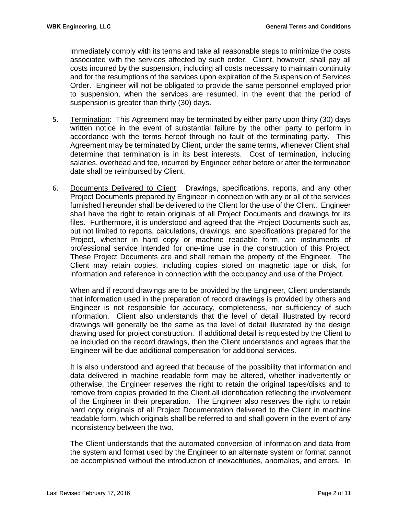immediately comply with its terms and take all reasonable steps to minimize the costs associated with the services affected by such order. Client, however, shall pay all costs incurred by the suspension, including all costs necessary to maintain continuity and for the resumptions of the services upon expiration of the Suspension of Services Order. Engineer will not be obligated to provide the same personnel employed prior to suspension, when the services are resumed, in the event that the period of suspension is greater than thirty (30) days.

- 5. Termination: This Agreement may be terminated by either party upon thirty (30) days written notice in the event of substantial failure by the other party to perform in accordance with the terms hereof through no fault of the terminating party. This Agreement may be terminated by Client, under the same terms, whenever Client shall determine that termination is in its best interests. Cost of termination, including salaries, overhead and fee, incurred by Engineer either before or after the termination date shall be reimbursed by Client.
- 6. Documents Delivered to Client: Drawings, specifications, reports, and any other Project Documents prepared by Engineer in connection with any or all of the services furnished hereunder shall be delivered to the Client for the use of the Client. Engineer shall have the right to retain originals of all Project Documents and drawings for its files. Furthermore, it is understood and agreed that the Project Documents such as, but not limited to reports, calculations, drawings, and specifications prepared for the Project, whether in hard copy or machine readable form, are instruments of professional service intended for one-time use in the construction of this Project. These Project Documents are and shall remain the property of the Engineer. The Client may retain copies, including copies stored on magnetic tape or disk, for information and reference in connection with the occupancy and use of the Project.

When and if record drawings are to be provided by the Engineer, Client understands that information used in the preparation of record drawings is provided by others and Engineer is not responsible for accuracy, completeness, nor sufficiency of such information. Client also understands that the level of detail illustrated by record drawings will generally be the same as the level of detail illustrated by the design drawing used for project construction. If additional detail is requested by the Client to be included on the record drawings, then the Client understands and agrees that the Engineer will be due additional compensation for additional services.

It is also understood and agreed that because of the possibility that information and data delivered in machine readable form may be altered, whether inadvertently or otherwise, the Engineer reserves the right to retain the original tapes/disks and to remove from copies provided to the Client all identification reflecting the involvement of the Engineer in their preparation. The Engineer also reserves the right to retain hard copy originals of all Project Documentation delivered to the Client in machine readable form, which originals shall be referred to and shall govern in the event of any inconsistency between the two.

The Client understands that the automated conversion of information and data from the system and format used by the Engineer to an alternate system or format cannot be accomplished without the introduction of inexactitudes, anomalies, and errors. In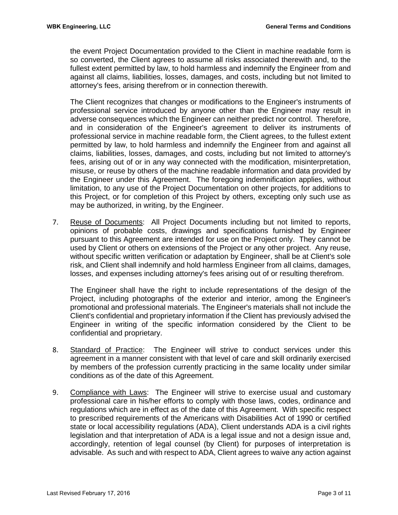the event Project Documentation provided to the Client in machine readable form is so converted, the Client agrees to assume all risks associated therewith and, to the fullest extent permitted by law, to hold harmless and indemnify the Engineer from and against all claims, liabilities, losses, damages, and costs, including but not limited to attorney's fees, arising therefrom or in connection therewith.

The Client recognizes that changes or modifications to the Engineer's instruments of professional service introduced by anyone other than the Engineer may result in adverse consequences which the Engineer can neither predict nor control. Therefore, and in consideration of the Engineer's agreement to deliver its instruments of professional service in machine readable form, the Client agrees, to the fullest extent permitted by law, to hold harmless and indemnify the Engineer from and against all claims, liabilities, losses, damages, and costs, including but not limited to attorney's fees, arising out of or in any way connected with the modification, misinterpretation, misuse, or reuse by others of the machine readable information and data provided by the Engineer under this Agreement. The foregoing indemnification applies, without limitation, to any use of the Project Documentation on other projects, for additions to this Project, or for completion of this Project by others, excepting only such use as may be authorized, in writing, by the Engineer.

7. Reuse of Documents: All Project Documents including but not limited to reports, opinions of probable costs, drawings and specifications furnished by Engineer pursuant to this Agreement are intended for use on the Project only. They cannot be used by Client or others on extensions of the Project or any other project. Any reuse, without specific written verification or adaptation by Engineer, shall be at Client's sole risk, and Client shall indemnify and hold harmless Engineer from all claims, damages, losses, and expenses including attorney's fees arising out of or resulting therefrom.

The Engineer shall have the right to include representations of the design of the Project, including photographs of the exterior and interior, among the Engineer's promotional and professional materials. The Engineer's materials shall not include the Client's confidential and proprietary information if the Client has previously advised the Engineer in writing of the specific information considered by the Client to be confidential and proprietary.

- 8. Standard of Practice: The Engineer will strive to conduct services under this agreement in a manner consistent with that level of care and skill ordinarily exercised by members of the profession currently practicing in the same locality under similar conditions as of the date of this Agreement.
- 9. Compliance with Laws: The Engineer will strive to exercise usual and customary professional care in his/her efforts to comply with those laws, codes, ordinance and regulations which are in effect as of the date of this Agreement. With specific respect to prescribed requirements of the Americans with Disabilities Act of 1990 or certified state or local accessibility regulations (ADA), Client understands ADA is a civil rights legislation and that interpretation of ADA is a legal issue and not a design issue and, accordingly, retention of legal counsel (by Client) for purposes of interpretation is advisable. As such and with respect to ADA, Client agrees to waive any action against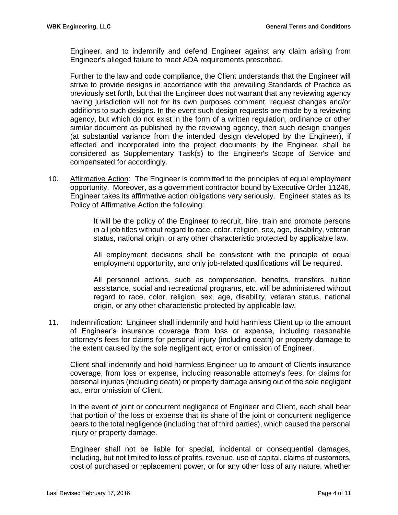Engineer, and to indemnify and defend Engineer against any claim arising from Engineer's alleged failure to meet ADA requirements prescribed.

Further to the law and code compliance, the Client understands that the Engineer will strive to provide designs in accordance with the prevailing Standards of Practice as previously set forth, but that the Engineer does not warrant that any reviewing agency having jurisdiction will not for its own purposes comment, request changes and/or additions to such designs. In the event such design requests are made by a reviewing agency, but which do not exist in the form of a written regulation, ordinance or other similar document as published by the reviewing agency, then such design changes (at substantial variance from the intended design developed by the Engineer), if effected and incorporated into the project documents by the Engineer, shall be considered as Supplementary Task(s) to the Engineer's Scope of Service and compensated for accordingly.

10. Affirmative Action: The Engineer is committed to the principles of equal employment opportunity. Moreover, as a government contractor bound by Executive Order 11246, Engineer takes its affirmative action obligations very seriously. Engineer states as its Policy of Affirmative Action the following:

> It will be the policy of the Engineer to recruit, hire, train and promote persons in all job titles without regard to race, color, religion, sex, age, disability, veteran status, national origin, or any other characteristic protected by applicable law.

> All employment decisions shall be consistent with the principle of equal employment opportunity, and only job-related qualifications will be required.

> All personnel actions, such as compensation, benefits, transfers, tuition assistance, social and recreational programs, etc. will be administered without regard to race, color, religion, sex, age, disability, veteran status, national origin, or any other characteristic protected by applicable law.

11. Indemnification: Engineer shall indemnify and hold harmless Client up to the amount of Engineer's insurance coverage from loss or expense, including reasonable attorney's fees for claims for personal injury (including death) or property damage to the extent caused by the sole negligent act, error or omission of Engineer.

Client shall indemnify and hold harmless Engineer up to amount of Clients insurance coverage, from loss or expense, including reasonable attorney's fees, for claims for personal injuries (including death) or property damage arising out of the sole negligent act, error omission of Client.

In the event of joint or concurrent negligence of Engineer and Client, each shall bear that portion of the loss or expense that its share of the joint or concurrent negligence bears to the total negligence (including that of third parties), which caused the personal injury or property damage.

Engineer shall not be liable for special, incidental or consequential damages, including, but not limited to loss of profits, revenue, use of capital, claims of customers, cost of purchased or replacement power, or for any other loss of any nature, whether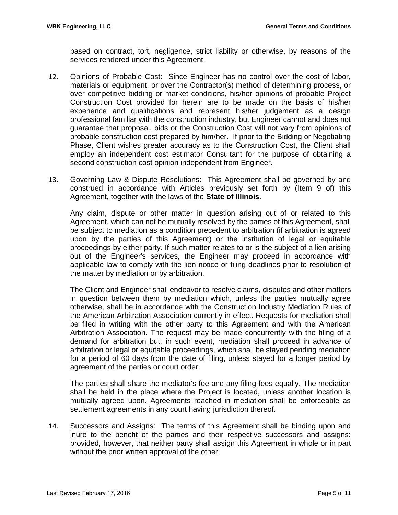based on contract, tort, negligence, strict liability or otherwise, by reasons of the services rendered under this Agreement.

- 12. Opinions of Probable Cost: Since Engineer has no control over the cost of labor, materials or equipment, or over the Contractor(s) method of determining process, or over competitive bidding or market conditions, his/her opinions of probable Project Construction Cost provided for herein are to be made on the basis of his/her experience and qualifications and represent his/her judgement as a design professional familiar with the construction industry, but Engineer cannot and does not guarantee that proposal, bids or the Construction Cost will not vary from opinions of probable construction cost prepared by him/her. If prior to the Bidding or Negotiating Phase, Client wishes greater accuracy as to the Construction Cost, the Client shall employ an independent cost estimator Consultant for the purpose of obtaining a second construction cost opinion independent from Engineer.
- 13. Governing Law & Dispute Resolutions: This Agreement shall be governed by and construed in accordance with Articles previously set forth by (Item 9 of) this Agreement, together with the laws of the **State of Illinois**.

Any claim, dispute or other matter in question arising out of or related to this Agreement, which can not be mutually resolved by the parties of this Agreement, shall be subject to mediation as a condition precedent to arbitration (if arbitration is agreed upon by the parties of this Agreement) or the institution of legal or equitable proceedings by either party. If such matter relates to or is the subject of a lien arising out of the Engineer's services, the Engineer may proceed in accordance with applicable law to comply with the lien notice or filing deadlines prior to resolution of the matter by mediation or by arbitration.

The Client and Engineer shall endeavor to resolve claims, disputes and other matters in question between them by mediation which, unless the parties mutually agree otherwise, shall be in accordance with the Construction Industry Mediation Rules of the American Arbitration Association currently in effect. Requests for mediation shall be filed in writing with the other party to this Agreement and with the American Arbitration Association. The request may be made concurrently with the filing of a demand for arbitration but, in such event, mediation shall proceed in advance of arbitration or legal or equitable proceedings, which shall be stayed pending mediation for a period of 60 days from the date of filing, unless stayed for a longer period by agreement of the parties or court order.

The parties shall share the mediator's fee and any filing fees equally. The mediation shall be held in the place where the Project is located, unless another location is mutually agreed upon. Agreements reached in mediation shall be enforceable as settlement agreements in any court having jurisdiction thereof.

14. Successors and Assigns: The terms of this Agreement shall be binding upon and inure to the benefit of the parties and their respective successors and assigns: provided, however, that neither party shall assign this Agreement in whole or in part without the prior written approval of the other.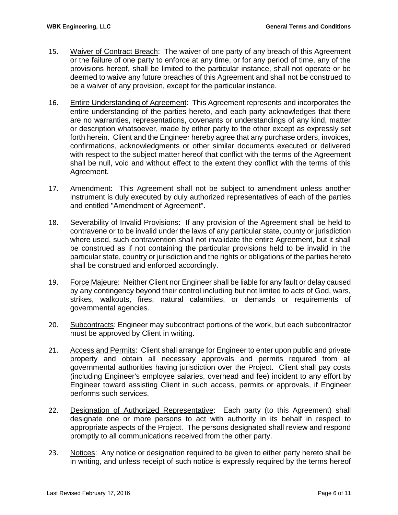- 15. Waiver of Contract Breach: The waiver of one party of any breach of this Agreement or the failure of one party to enforce at any time, or for any period of time, any of the provisions hereof, shall be limited to the particular instance, shall not operate or be deemed to waive any future breaches of this Agreement and shall not be construed to be a waiver of any provision, except for the particular instance.
- 16. Entire Understanding of Agreement: This Agreement represents and incorporates the entire understanding of the parties hereto, and each party acknowledges that there are no warranties, representations, covenants or understandings of any kind, matter or description whatsoever, made by either party to the other except as expressly set forth herein. Client and the Engineer hereby agree that any purchase orders, invoices, confirmations, acknowledgments or other similar documents executed or delivered with respect to the subject matter hereof that conflict with the terms of the Agreement shall be null, void and without effect to the extent they conflict with the terms of this Agreement.
- 17. Amendment: This Agreement shall not be subject to amendment unless another instrument is duly executed by duly authorized representatives of each of the parties and entitled "Amendment of Agreement".
- 18. Severability of Invalid Provisions: If any provision of the Agreement shall be held to contravene or to be invalid under the laws of any particular state, county or jurisdiction where used, such contravention shall not invalidate the entire Agreement, but it shall be construed as if not containing the particular provisions held to be invalid in the particular state, country or jurisdiction and the rights or obligations of the parties hereto shall be construed and enforced accordingly.
- 19. Force Majeure: Neither Client nor Engineer shall be liable for any fault or delay caused by any contingency beyond their control including but not limited to acts of God, wars, strikes, walkouts, fires, natural calamities, or demands or requirements of governmental agencies.
- 20. Subcontracts: Engineer may subcontract portions of the work, but each subcontractor must be approved by Client in writing.
- 21. Access and Permits: Client shall arrange for Engineer to enter upon public and private property and obtain all necessary approvals and permits required from all governmental authorities having jurisdiction over the Project. Client shall pay costs (including Engineer's employee salaries, overhead and fee) incident to any effort by Engineer toward assisting Client in such access, permits or approvals, if Engineer performs such services.
- 22. Designation of Authorized Representative: Each party (to this Agreement) shall designate one or more persons to act with authority in its behalf in respect to appropriate aspects of the Project. The persons designated shall review and respond promptly to all communications received from the other party.
- 23. Notices: Any notice or designation required to be given to either party hereto shall be in writing, and unless receipt of such notice is expressly required by the terms hereof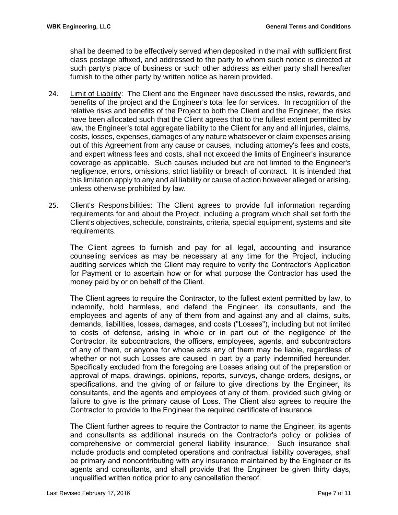shall be deemed to be effectively served when deposited in the mail with sufficient first class postage affixed, and addressed to the party to whom such notice is directed at such party's place of business or such other address as either party shall hereafter furnish to the other party by written notice as herein provided.

- 24. Limit of Liability: The Client and the Engineer have discussed the risks, rewards, and benefits of the project and the Engineer's total fee for services. In recognition of the relative risks and benefits of the Project to both the Client and the Engineer, the risks have been allocated such that the Client agrees that to the fullest extent permitted by law, the Engineer's total aggregate liability to the Client for any and all injuries, claims, costs, losses, expenses, damages of any nature whatsoever or claim expenses arising out of this Agreement from any cause or causes, including attorney's fees and costs, and expert witness fees and costs, shall not exceed the limits of Engineer's insurance coverage as applicable. Such causes included but are not limited to the Engineer's negligence, errors, omissions, strict liability or breach of contract. It is intended that this limitation apply to any and all liability or cause of action however alleged or arising, unless otherwise prohibited by law.
- 25. Client's Responsibilities: The Client agrees to provide full information regarding requirements for and about the Project, including a program which shall set forth the Client's objectives, schedule, constraints, criteria, special equipment, systems and site requirements.

The Client agrees to furnish and pay for all legal, accounting and insurance counseling services as may be necessary at any time for the Project, including auditing services which the Client may require to verify the Contractor's Application for Payment or to ascertain how or for what purpose the Contractor has used the money paid by or on behalf of the Client.

The Client agrees to require the Contractor, to the fullest extent permitted by law, to indemnify, hold harmless, and defend the Engineer, its consultants, and the employees and agents of any of them from and against any and all claims, suits, demands, liabilities, losses, damages, and costs ("Losses"), including but not limited to costs of defense, arising in whole or in part out of the negligence of the Contractor, its subcontractors, the officers, employees, agents, and subcontractors of any of them, or anyone for whose acts any of them may be liable, regardless of whether or not such Losses are caused in part by a party indemnified hereunder. Specifically excluded from the foregoing are Losses arising out of the preparation or approval of maps, drawings, opinions, reports, surveys, change orders, designs, or specifications, and the giving of or failure to give directions by the Engineer, its consultants, and the agents and employees of any of them, provided such giving or failure to give is the primary cause of Loss. The Client also agrees to require the Contractor to provide to the Engineer the required certificate of insurance.

The Client further agrees to require the Contractor to name the Engineer, its agents and consultants as additional insureds on the Contractor's policy or policies of comprehensive or commercial general liability insurance. Such insurance shall include products and completed operations and contractual liability coverages, shall be primary and noncontributing with any insurance maintained by the Engineer or its agents and consultants, and shall provide that the Engineer be given thirty days, unqualified written notice prior to any cancellation thereof.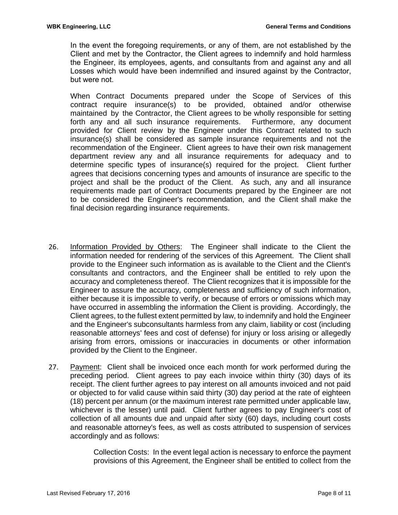In the event the foregoing requirements, or any of them, are not established by the Client and met by the Contractor, the Client agrees to indemnify and hold harmless the Engineer, its employees, agents, and consultants from and against any and all Losses which would have been indemnified and insured against by the Contractor, but were not.

When Contract Documents prepared under the Scope of Services of this contract require insurance(s) to be provided, obtained and/or otherwise maintained by the Contractor, the Client agrees to be wholly responsible for setting forth any and all such insurance requirements. Furthermore, any document provided for Client review by the Engineer under this Contract related to such insurance(s) shall be considered as sample insurance requirements and not the recommendation of the Engineer. Client agrees to have their own risk management department review any and all insurance requirements for adequacy and to determine specific types of insurance(s) required for the project. Client further agrees that decisions concerning types and amounts of insurance are specific to the project and shall be the product of the Client. As such, any and all insurance requirements made part of Contract Documents prepared by the Engineer are not to be considered the Engineer's recommendation, and the Client shall make the final decision regarding insurance requirements.

- 26. Information Provided by Others: The Engineer shall indicate to the Client the information needed for rendering of the services of this Agreement. The Client shall provide to the Engineer such information as is available to the Client and the Client's consultants and contractors, and the Engineer shall be entitled to rely upon the accuracy and completeness thereof. The Client recognizes that it is impossible for the Engineer to assure the accuracy, completeness and sufficiency of such information, either because it is impossible to verify, or because of errors or omissions which may have occurred in assembling the information the Client is providing. Accordingly, the Client agrees, to the fullest extent permitted by law, to indemnify and hold the Engineer and the Engineer's subconsultants harmless from any claim, liability or cost (including reasonable attorneys' fees and cost of defense) for injury or loss arising or allegedly arising from errors, omissions or inaccuracies in documents or other information provided by the Client to the Engineer.
- 27. Payment: Client shall be invoiced once each month for work performed during the preceding period. Client agrees to pay each invoice within thirty (30) days of its receipt. The client further agrees to pay interest on all amounts invoiced and not paid or objected to for valid cause within said thirty (30) day period at the rate of eighteen (18) percent per annum (or the maximum interest rate permitted under applicable law, whichever is the lesser) until paid. Client further agrees to pay Engineer's cost of collection of all amounts due and unpaid after sixty (60) days, including court costs and reasonable attorney's fees, as well as costs attributed to suspension of services accordingly and as follows:

Collection Costs: In the event legal action is necessary to enforce the payment provisions of this Agreement, the Engineer shall be entitled to collect from the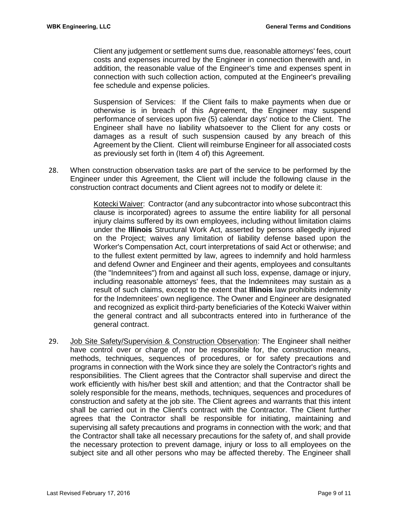Client any judgement or settlement sums due, reasonable attorneys' fees, court costs and expenses incurred by the Engineer in connection therewith and, in addition, the reasonable value of the Engineer's time and expenses spent in connection with such collection action, computed at the Engineer's prevailing fee schedule and expense policies.

Suspension of Services: If the Client fails to make payments when due or otherwise is in breach of this Agreement, the Engineer may suspend performance of services upon five (5) calendar days' notice to the Client. The Engineer shall have no liability whatsoever to the Client for any costs or damages as a result of such suspension caused by any breach of this Agreement by the Client. Client will reimburse Engineer for all associated costs as previously set forth in (Item 4 of) this Agreement.

28. When construction observation tasks are part of the service to be performed by the Engineer under this Agreement, the Client will include the following clause in the construction contract documents and Client agrees not to modify or delete it:

> Kotecki Waiver: Contractor (and any subcontractor into whose subcontract this clause is incorporated) agrees to assume the entire liability for all personal injury claims suffered by its own employees, including without limitation claims under the **Illinois** Structural Work Act, asserted by persons allegedly injured on the Project; waives any limitation of liability defense based upon the Worker's Compensation Act, court interpretations of said Act or otherwise; and to the fullest extent permitted by law, agrees to indemnify and hold harmless and defend Owner and Engineer and their agents, employees and consultants (the "Indemnitees") from and against all such loss, expense, damage or injury, including reasonable attorneys' fees, that the Indemnitees may sustain as a result of such claims, except to the extent that **Illinois** law prohibits indemnity for the Indemnitees' own negligence. The Owner and Engineer are designated and recognized as explicit third-party beneficiaries of the Kotecki Waiver within the general contract and all subcontracts entered into in furtherance of the general contract.

29. Job Site Safety/Supervision & Construction Observation: The Engineer shall neither have control over or charge of, nor be responsible for, the construction means, methods, techniques, sequences of procedures, or for safety precautions and programs in connection with the Work since they are solely the Contractor's rights and responsibilities. The Client agrees that the Contractor shall supervise and direct the work efficiently with his/her best skill and attention; and that the Contractor shall be solely responsible for the means, methods, techniques, sequences and procedures of construction and safety at the job site. The Client agrees and warrants that this intent shall be carried out in the Client's contract with the Contractor. The Client further agrees that the Contractor shall be responsible for initiating, maintaining and supervising all safety precautions and programs in connection with the work; and that the Contractor shall take all necessary precautions for the safety of, and shall provide the necessary protection to prevent damage, injury or loss to all employees on the subject site and all other persons who may be affected thereby. The Engineer shall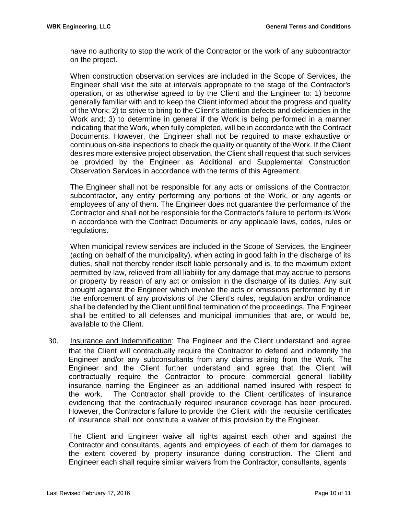have no authority to stop the work of the Contractor or the work of any subcontractor on the project.

When construction observation services are included in the Scope of Services, the Engineer shall visit the site at intervals appropriate to the stage of the Contractor's operation, or as otherwise agreed to by the Client and the Engineer to: 1) become generally familiar with and to keep the Client informed about the progress and quality of the Work; 2) to strive to bring to the Client's attention defects and deficiencies in the Work and; 3) to determine in general if the Work is being performed in a manner indicating that the Work, when fully completed, will be in accordance with the Contract Documents. However, the Engineer shall not be required to make exhaustive or continuous on-site inspections to check the quality or quantity of the Work. If the Client desires more extensive project observation, the Client shall request that such services be provided by the Engineer as Additional and Supplemental Construction Observation Services in accordance with the terms of this Agreement.

The Engineer shall not be responsible for any acts or omissions of the Contractor, subcontractor, any entity performing any portions of the Work, or any agents or employees of any of them. The Engineer does not guarantee the performance of the Contractor and shall not be responsible for the Contractor's failure to perform its Work in accordance with the Contract Documents or any applicable laws, codes, rules or regulations.

When municipal review services are included in the Scope of Services, the Engineer (acting on behalf of the municipality), when acting in good faith in the discharge of its duties, shall not thereby render itself liable personally and is, to the maximum extent permitted by law, relieved from all liability for any damage that may accrue to persons or property by reason of any act or omission in the discharge of its duties. Any suit brought against the Engineer which involve the acts or omissions performed by it in the enforcement of any provisions of the Client's rules, regulation and/or ordinance shall be defended by the Client until final termination of the proceedings. The Engineer shall be entitled to all defenses and municipal immunities that are, or would be, available to the Client.

30. Insurance and Indemnification: The Engineer and the Client understand and agree that the Client will contractually require the Contractor to defend and indemnify the Engineer and/or any subconsultants from any claims arising from the Work. The Engineer and the Client further understand and agree that the Client will contractually require the Contractor to procure commercial general liability insurance naming the Engineer as an additional named insured with respect to the work. The Contractor shall provide to the Client certificates of insurance evidencing that the contractually required insurance coverage has been procured. However, the Contractor's failure to provide the Client with the requisite certificates of insurance shall not constitute a waiver of this provision by the Engineer.

The Client and Engineer waive all rights against each other and against the Contractor and consultants, agents and employees of each of them for damages to the extent covered by property insurance during construction. The Client and Engineer each shall require similar waivers from the Contractor, consultants, agents